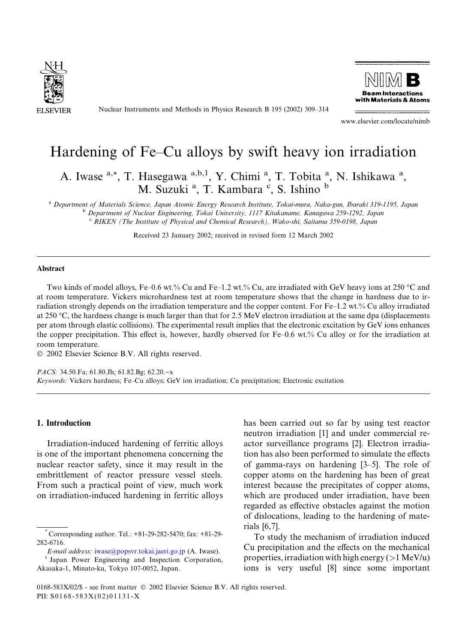

Nuclear Instruments and Methods in Physics Research B 195 (2002) 309–314



www.elsevier.com/locate/nimb

# Hardening of Fe–Cu alloys by swift heavy ion irradiation

A. Iwase <sup>a,\*</sup>, T. Hasegawa <sup>a,b,1</sup>, Y. Chimi <sup>a</sup>, T. Tobita <sup>a</sup>, N. Ishikawa <sup>a</sup>, M. Suzuki<sup>a</sup>, T. Kambara<sup>c</sup>, S. Ishino<sup>b</sup>

<sup>a</sup> Department of Materials Science, Japan Atomic Energy Research Institute, Tokai-mura, Naka-gun, Ibaraki 319-1195, Japan <sup>b</sup> Department of Nuclear Engineering, Tokai University, 1117 Kitakaname, Kanagawa 259-1292, Japan <sup>c</sup> RIKEN (The Institute of Physical and Chemical Research), Wako-shi, Saitama 359-0198, Japan

Received 23 January 2002; received in revised form 12 March 2002

# Abstract

Two kinds of model alloys, Fe–0.6 wt.% Cu and Fe–1.2 wt.% Cu, are irradiated with GeV heavy ions at 250 °C and at room temperature. Vickers microhardness test at room temperature shows that the change in hardness due to irradiation strongly depends on the irradiation temperature and the copper content. For Fe–1.2 wt.% Cu alloy irradiated at 250 °C, the hardness change is much larger than that for 2.5 MeV electron irradiation at the same dpa (displacements per atom through elastic collisions). The experimental result implies that the electronic excitation by GeV ions enhances the copper precipitation. This effect is, however, hardly observed for Fe–0.6 wt.% Cu alloy or for the irradiation at room temperature.

 $© 2002 Elsevier Science B.V. All rights reserved.$ 

PACS: 34.50.Fa; 61.80.Jh; 61.82.Bg; 62.20.-x Keywords: Vickers hardness; Fe–Cu alloys; GeV ion irradiation; Cu precipitation; Electronic excitation

## 1. Introduction

Irradiation-induced hardening of ferritic alloys is one of the important phenomena concerning the nuclear reactor safety, since it may result in the embrittlement of reactor pressure vessel steels. From such a practical point of view, much work on irradiation-induced hardening in ferritic alloys

E-mail address: [iwase@popsvr.tokai.jaeri.go.jp](mail to: iwase@popsvr.tokai.jaeri.go.jp) (A. Iwase). <sup>1</sup> Japan Power Engineering and Inspection Corporation,

has been carried out so far by using test reactor neutron irradiation [1] and under commercial reactor surveillance programs [2]. Electron irradiation has also been performed to simulate the effects of gamma-rays on hardening [3–5]. The role of copper atoms on the hardening has been of great interest because the precipitates of copper atoms, which are produced under irradiation, have been regarded as effective obstacles against the motion of dislocations, leading to the hardening of materials [6,7].

To study the mechanism of irradiation induced Cu precipitation and the effects on the mechanical properties, irradiation with high energy ( $>1$  MeV/u) ions is very useful [8] since some important

Corresponding author. Tel.: +81-29-282-5470; fax: +81-29-282-6716.

Akasaka-1, Minato-ku, Tokyo 107-0052, Japan.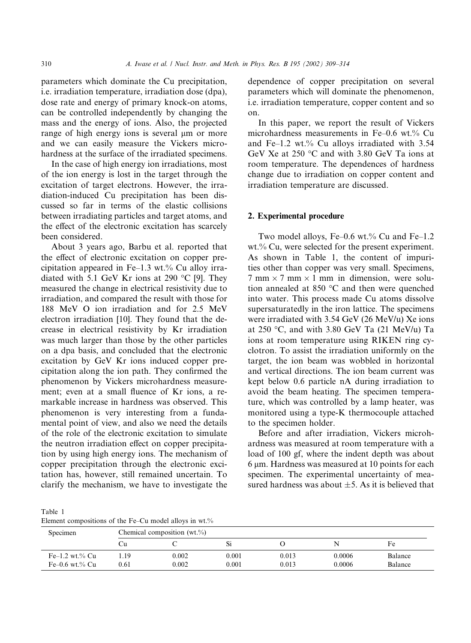parameters which dominate the Cu precipitation, i.e. irradiation temperature, irradiation dose (dpa), dose rate and energy of primary knock-on atoms, can be controlled independently by changing the mass and the energy of ions. Also, the projected range of high energy ions is several  $\mu$ m or more and we can easily measure the Vickers microhardness at the surface of the irradiated specimens.

In the case of high energy ion irradiations, most of the ion energy is lost in the target through the excitation of target electrons. However, the irradiation-induced Cu precipitation has been discussed so far in terms of the elastic collisions between irradiating particles and target atoms, and the effect of the electronic excitation has scarcely been considered.

About 3 years ago, Barbu et al. reported that the effect of electronic excitation on copper precipitation appeared in Fe–1.3 wt.% Cu alloy irradiated with 5.1 GeV Kr ions at 290 °C [9]. They measured the change in electrical resistivity due to irradiation, and compared the result with those for 188 MeV O ion irradiation and for 2.5 MeV electron irradiation [10]. They found that the decrease in electrical resistivity by Kr irradiation was much larger than those by the other particles on a dpa basis, and concluded that the electronic excitation by GeV Kr ions induced copper precipitation along the ion path. They confirmed the phenomenon by Vickers microhardness measurement; even at a small fluence of Kr ions, a remarkable increase in hardness was observed. This phenomenon is very interesting from a fundamental point of view, and also we need the details of the role of the electronic excitation to simulate the neutron irradiation effect on copper precipitation by using high energy ions. The mechanism of copper precipitation through the electronic excitation has, however, still remained uncertain. To clarify the mechanism, we have to investigate the

dependence of copper precipitation on several parameters which will dominate the phenomenon, i.e. irradiation temperature, copper content and so on.

In this paper, we report the result of Vickers microhardness measurements in Fe–0.6 wt.% Cu and Fe–1.2 wt.% Cu alloys irradiated with 3.54 GeV Xe at 250  $\degree$ C and with 3.80 GeV Ta ions at room temperature. The dependences of hardness change due to irradiation on copper content and irradiation temperature are discussed.

#### 2. Experimental procedure

Two model alloys, Fe–0.6 wt.% Cu and Fe–1.2 wt.% Cu, were selected for the present experiment. As shown in Table 1, the content of impurities other than copper was very small. Specimens,  $7 \text{ mm} \times 7 \text{ mm} \times 1 \text{ mm}$  in dimension, were solution annealed at 850  $\degree$ C and then were quenched into water. This process made Cu atoms dissolve supersaturatedly in the iron lattice. The specimens were irradiated with 3.54 GeV (26 MeV/u) Xe ions at 250 °C, and with 3.80 GeV Ta (21 MeV/u) Ta ions at room temperature using RIKEN ring cyclotron. To assist the irradiation uniformly on the target, the ion beam was wobbled in horizontal and vertical directions. The ion beam current was kept below 0.6 particle nA during irradiation to avoid the beam heating. The specimen temperature, which was controlled by a lamp heater, was monitored using a type-K thermocouple attached to the specimen holder.

Before and after irradiation, Vickers microhardness was measured at room temperature with a load of 100 gf, where the indent depth was about  $6 \mu m$ . Hardness was measured at 10 points for each specimen. The experimental uncertainty of measured hardness was about  $\pm$ 5. As it is believed that

Table 1

Element compositions of the Fe–Cu model alloys in wt.%

| Specimen         | Chemical composition $(wt.^{\%})$ |       |              |       |        |         |  |
|------------------|-----------------------------------|-------|--------------|-------|--------|---------|--|
|                  | Uп                                |       | $\mathbf{N}$ |       | N      | Fe      |  |
| $Fe-1.2$ wt.% Cu | 19. ،                             | 0.002 | 0.001        | 0.013 | 0.0006 | Balance |  |
| $Fe-0.6$ wt.% Cu | 0.61                              | 0.002 | 0.001        | 0.013 | 0.0006 | Balance |  |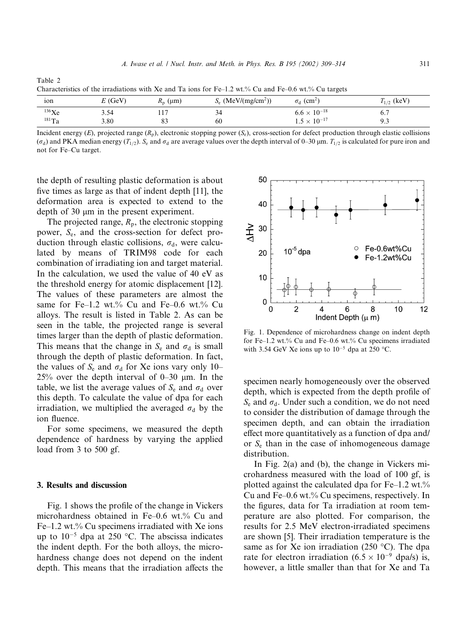| Characteristics of the irradiations with Ac and Ta fons for TC-1.2 wt.70 Cu and TC-0.0 wt.70 Cu targets |           |                  |                                   |                               |                 |  |  |  |  |
|---------------------------------------------------------------------------------------------------------|-----------|------------------|-----------------------------------|-------------------------------|-----------------|--|--|--|--|
| ion                                                                                                     | $E$ (GeV) | $R_{\rm n}$ (um) | $S_e$ (MeV/(mg/cm <sup>2</sup> )) | $\sigma_d$ (cm <sup>2</sup> ) | $T_{1/2}$ (keV) |  |  |  |  |
| 136Xe                                                                                                   | 3.54      |                  | 34                                | $6.6 \times 10^{-18}$         |                 |  |  |  |  |
| $181$ Ta                                                                                                | 3.80      |                  | 60                                | $1.5 \times 10^{-17}$         | 9.3             |  |  |  |  |

Table 2 Characteristics of the irradiations with Xe and Ta ions for Fe–1.2 wt.% Cu and Fe–0.6 wt.% Cu targets

Incident energy (E), projected range  $(R_n)$ , electronic stopping power  $(S_n)$ , cross-section for defect production through elastic collisions  $(\sigma_d)$  and PKA median energy  $(T_{1/2})$ . S<sub>e</sub> and  $\sigma_d$  are average values over the depth interval of 0–30 µm.  $T_{1/2}$  is calculated for pure iron and not for Fe–Cu target.

the depth of resulting plastic deformation is about five times as large as that of indent depth [11], the deformation area is expected to extend to the depth of 30  $\mu$ m in the present experiment.

The projected range,  $R_p$ , the electronic stopping power, Se, and the cross-section for defect production through elastic collisions,  $\sigma_d$ , were calculated by means of TRIM98 code for each combination of irradiating ion and target material. In the calculation, we used the value of 40 eV as the threshold energy for atomic displacement [12]. The values of these parameters are almost the same for Fe–1.2 wt.% Cu and Fe–0.6 wt.% Cu alloys. The result is listed in Table 2. As can be seen in the table, the projected range is several times larger than the depth of plastic deformation. This means that the change in  $S_e$  and  $\sigma_d$  is small through the depth of plastic deformation. In fact, the values of  $S_e$  and  $\sigma_d$  for Xe ions vary only 10– 25% over the depth interval of  $0-30$  µm. In the table, we list the average values of  $S_e$  and  $\sigma_d$  over this depth. To calculate the value of dpa for each irradiation, we multiplied the averaged  $\sigma_d$  by the ion fluence.

For some specimens, we measured the depth dependence of hardness by varying the applied load from 3 to 500 gf.

#### 3. Results and discussion

Fig. 1 shows the profile of the change in Vickers microhardness obtained in Fe–0.6 wt.% Cu and Fe–1.2 wt.% Cu specimens irradiated with Xe ions up to  $10^{-5}$  dpa at 250 °C. The abscissa indicates the indent depth. For the both alloys, the microhardness change does not depend on the indent depth. This means that the irradiation affects the



Fig. 1. Dependence of microhardness change on indent depth for Fe–1.2 wt.% Cu and Fe–0.6 wt.% Cu specimens irradiated with 3.54 GeV Xe ions up to  $10^{-5}$  dpa at 250 °C.

specimen nearly homogeneously over the observed depth, which is expected from the depth profile of  $S<sub>e</sub>$  and  $\sigma<sub>d</sub>$ . Under such a condition, we do not need to consider the distribution of damage through the specimen depth, and can obtain the irradiation effect more quantitatively as a function of dpa and/ or  $S<sub>e</sub>$  than in the case of inhomogeneous damage distribution.

In Fig. 2(a) and (b), the change in Vickers microhardness measured with the load of 100 gf, is plotted against the calculated dpa for  $Fe-1.2$  wt.% Cu and Fe–0.6 wt.% Cu specimens, respectively. In the figures, data for Ta irradiation at room temperature are also plotted. For comparison, the results for 2.5 MeV electron-irradiated specimens are shown [5]. Their irradiation temperature is the same as for Xe ion irradiation (250 °C). The dpa rate for electron irradiation  $(6.5 \times 10^{-9}$  dpa/s) is, however, a little smaller than that for Xe and Ta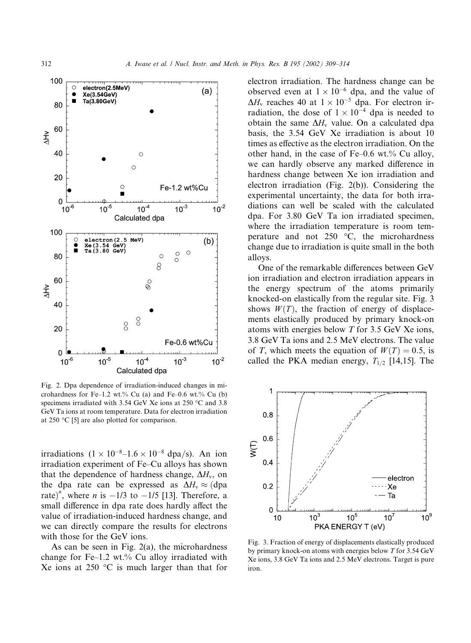

Fig. 2. Dpa dependence of irradiation-induced changes in microhardness for Fe–1.2 wt.% Cu (a) and Fe–0.6 wt.% Cu (b) specimens irradiated with 3.54 GeV Xe ions at 250  $^{\circ}$ C and 3.8 GeV Ta ions at room temperature. Data for electron irradiation at 250  $\degree$ C [5] are also plotted for comparison.

irradiations  $(1 \times 10^{-8} - 1.6 \times 10^{-8}$  dpa/s). An ion irradiation experiment of Fe–Cu alloys has shown that the dependence of hardness change,  $\Delta H_v$ , on the dpa rate can be expressed as  $\Delta H_v \approx$  (dpa rate)<sup>n</sup>, where *n* is  $-1/3$  to  $-1/5$  [13]. Therefore, a small difference in dpa rate does hardly affect the value of irradiation-induced hardness change, and we can directly compare the results for electrons with those for the GeV ions.

As can be seen in Fig.  $2(a)$ , the microhardness change for Fe–1.2 wt.% Cu alloy irradiated with Xe ions at 250  $\degree$ C is much larger than that for

electron irradiation. The hardness change can be observed even at  $1 \times 10^{-6}$  dpa, and the value of  $\Delta H_v$  reaches 40 at  $1 \times 10^{-5}$  dpa. For electron irradiation, the dose of  $1 \times 10^{-4}$  dpa is needed to obtain the same  $\Delta H_v$  value. On a calculated dpa basis, the 3.54 GeV Xe irradiation is about 10 times as effective as the electron irradiation. On the other hand, in the case of Fe–0.6 wt.% Cu alloy, we can hardly observe any marked difference in hardness change between Xe ion irradiation and electron irradiation (Fig. 2(b)). Considering the experimental uncertainty, the data for both irradiations can well be scaled with the calculated dpa. For 3.80 GeV Ta ion irradiated specimen, where the irradiation temperature is room temperature and not  $250 \degree C$ , the microhardness change due to irradiation is quite small in the both alloys.

One of the remarkable differences between GeV ion irradiation and electron irradiation appears in the energy spectrum of the atoms primarily knocked-on elastically from the regular site. Fig. 3 shows  $W(T)$ , the fraction of energy of displacements elastically produced by primary knock-on atoms with energies below T for 3.5 GeV Xe ions, 3.8 GeV Ta ions and 2.5 MeV electrons. The value of T, which meets the equation of  $W(T) = 0.5$ , is called the PKA median energy,  $T_{1/2}$  [14,15]. The



Fig. 3. Fraction of energy of displacements elastically produced by primary knock-on atoms with energies below T for 3.54 GeV Xe ions, 3.8 GeV Ta ions and 2.5 MeV electrons. Target is pure iron.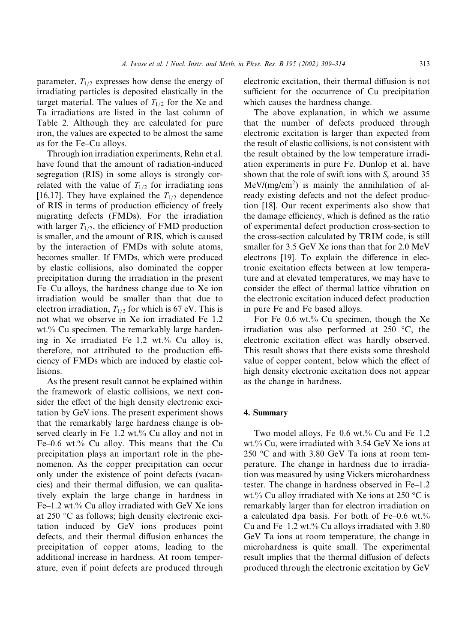parameter,  $T_{1/2}$  expresses how dense the energy of irradiating particles is deposited elastically in the target material. The values of  $T_{1/2}$  for the Xe and Ta irradiations are listed in the last column of Table 2. Although they are calculated for pure iron, the values are expected to be almost the same as for the Fe–Cu alloys.

Through ion irradiation experiments, Rehn et al. have found that the amount of radiation-induced segregation (RIS) in some alloys is strongly correlated with the value of  $T_{1/2}$  for irradiating ions [16,17]. They have explained the  $T_{1/2}$  dependence of RIS in terms of production efficiency of freely migrating defects (FMDs). For the irradiation with larger  $T_{1/2}$ , the efficiency of FMD production is smaller, and the amount of RIS, which is caused by the interaction of FMDs with solute atoms, becomes smaller. If FMDs, which were produced by elastic collisions, also dominated the copper precipitation during the irradiation in the present Fe–Cu alloys, the hardness change due to Xe ion irradiation would be smaller than that due to electron irradiation,  $T_{1/2}$  for which is 67 eV. This is not what we observe in Xe ion irradiated Fe–1.2 wt.% Cu specimen. The remarkably large hardening in Xe irradiated Fe–1.2 wt.% Cu alloy is, therefore, not attributed to the production efficiency of FMDs which are induced by elastic collisions.

As the present result cannot be explained within the framework of elastic collisions, we next consider the effect of the high density electronic excitation by GeV ions. The present experiment shows that the remarkably large hardness change is observed clearly in Fe–1.2 wt.% Cu alloy and not in Fe–0.6 wt.% Cu alloy. This means that the Cu precipitation plays an important role in the phenomenon. As the copper precipitation can occur only under the existence of point defects (vacancies) and their thermal diffusion, we can qualitatively explain the large change in hardness in Fe–1.2 wt.% Cu alloy irradiated with GeV Xe ions at  $250$  °C as follows; high density electronic excitation induced by GeV ions produces point defects, and their thermal diffusion enhances the precipitation of copper atoms, leading to the additional increase in hardness. At room temperature, even if point defects are produced through

electronic excitation, their thermal diffusion is not sufficient for the occurrence of Cu precipitation which causes the hardness change.

The above explanation, in which we assume that the number of defects produced through electronic excitation is larger than expected from the result of elastic collisions, is not consistent with the result obtained by the low temperature irradiation experiments in pure Fe. Dunlop et al. have shown that the role of swift ions with  $S_e$  around 35  $Mev/(mg/cm<sup>2</sup>)$  is mainly the annihilation of already existing defects and not the defect production [18]. Our recent experiments also show that the damage efficiency, which is defined as the ratio of experimental defect production cross-section to the cross-section calculated by TRIM code, is still smaller for 3.5 GeV Xe ions than that for 2.0 MeV electrons [19]. To explain the difference in electronic excitation effects between at low temperature and at elevated temperatures, we may have to consider the effect of thermal lattice vibration on the electronic excitation induced defect production in pure Fe and Fe based alloys.

For Fe–0.6 wt.% Cu specimen, though the Xe irradiation was also performed at  $250 \degree C$ , the electronic excitation effect was hardly observed. This result shows that there exists some threshold value of copper content, below which the effect of high density electronic excitation does not appear as the change in hardness.

#### 4. Summary

Two model alloys, Fe–0.6 wt.% Cu and Fe–1.2 wt.% Cu, were irradiated with 3.54 GeV Xe ions at  $250$  °C and with 3.80 GeV Ta ions at room temperature. The change in hardness due to irradiation was measured by using Vickers microhardness tester. The change in hardness observed in Fe–1.2 wt.% Cu alloy irradiated with Xe ions at 250 °C is remarkably larger than for electron irradiation on a calculated dpa basis. For both of Fe–0.6 wt.% Cu and Fe–1.2 wt.% Cu alloys irradiated with 3.80 GeV Ta ions at room temperature, the change in microhardness is quite small. The experimental result implies that the thermal diffusion of defects produced through the electronic excitation by GeV